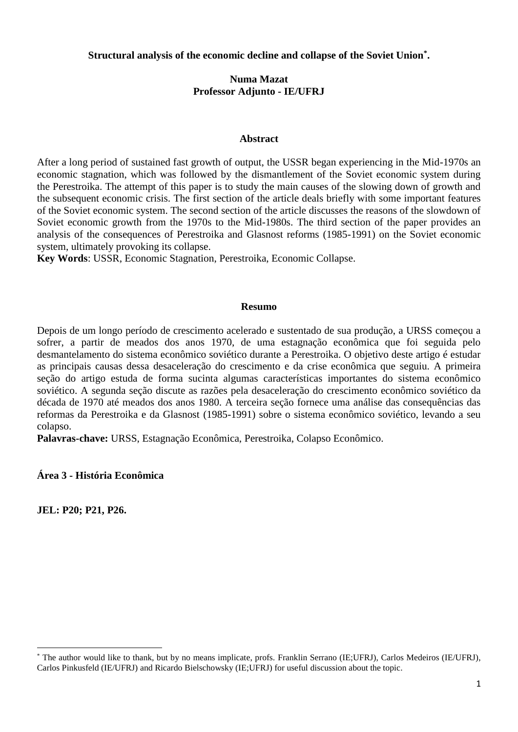**Structural analysis of the economic decline and collapse of the Soviet Union\* .**

# **Numa Mazat Professor Adjunto - IE/UFRJ**

### **Abstract**

After a long period of sustained fast growth of output, the USSR began experiencing in the Mid-1970s an economic stagnation, which was followed by the dismantlement of the Soviet economic system during the Perestroika. The attempt of this paper is to study the main causes of the slowing down of growth and the subsequent economic crisis. The first section of the article deals briefly with some important features of the Soviet economic system. The second section of the article discusses the reasons of the slowdown of Soviet economic growth from the 1970s to the Mid-1980s. The third section of the paper provides an analysis of the consequences of Perestroika and Glasnost reforms (1985-1991) on the Soviet economic system, ultimately provoking its collapse.

**Key Words**: USSR, Economic Stagnation, Perestroika, Economic Collapse.

### **Resumo**

Depois de um longo período de crescimento acelerado e sustentado de sua produção, a URSS começou a sofrer, a partir de meados dos anos 1970, de uma estagnação econômica que foi seguida pelo desmantelamento do sistema econômico soviético durante a Perestroika. O objetivo deste artigo é estudar as principais causas dessa desaceleração do crescimento e da crise econômica que seguiu. A primeira seção do artigo estuda de forma sucinta algumas características importantes do sistema econômico soviético. A segunda seção discute as razões pela desaceleração do crescimento econômico soviético da década de 1970 até meados dos anos 1980. A terceira seção fornece uma análise das consequências das reformas da Perestroika e da Glasnost (1985-1991) sobre o sistema econômico soviético, levando a seu colapso.

**Palavras-chave:** URSS, Estagnação Econômica, Perestroika, Colapso Econômico.

# **Área 3 - História Econômica**

**JEL: P20; P21, P26.**

<sup>\*</sup> The author would like to thank, but by no means implicate, profs. Franklin Serrano (IE;UFRJ), Carlos Medeiros (IE/UFRJ), Carlos Pinkusfeld (IE/UFRJ) and Ricardo Bielschowsky (IE;UFRJ) for useful discussion about the topic.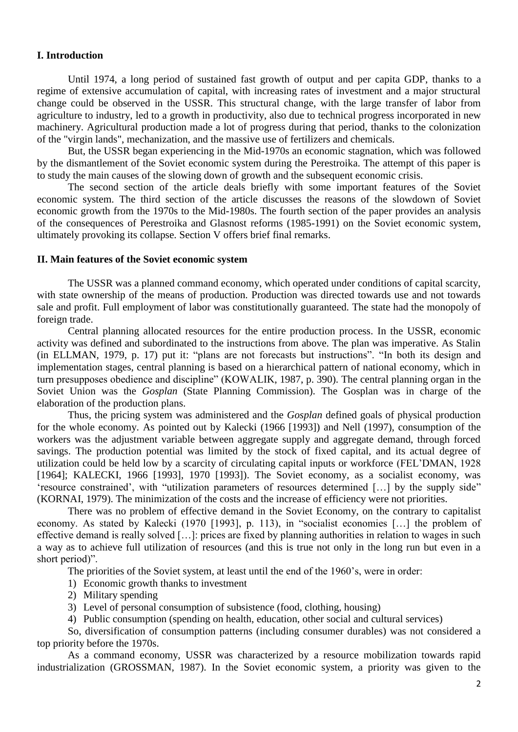## **I. Introduction**

Until 1974, a long period of sustained fast growth of output and per capita GDP, thanks to a regime of extensive accumulation of capital, with increasing rates of investment and a major structural change could be observed in the USSR. This structural change, with the large transfer of labor from agriculture to industry, led to a growth in productivity, also due to technical progress incorporated in new machinery. Agricultural production made a lot of progress during that period, thanks to the colonization of the "virgin lands", mechanization, and the massive use of fertilizers and chemicals.

But, the USSR began experiencing in the Mid-1970s an economic stagnation, which was followed by the dismantlement of the Soviet economic system during the Perestroika. The attempt of this paper is to study the main causes of the slowing down of growth and the subsequent economic crisis.

The second section of the article deals briefly with some important features of the Soviet economic system. The third section of the article discusses the reasons of the slowdown of Soviet economic growth from the 1970s to the Mid-1980s. The fourth section of the paper provides an analysis of the consequences of Perestroika and Glasnost reforms (1985-1991) on the Soviet economic system, ultimately provoking its collapse. Section V offers brief final remarks.

#### **II. Main features of the Soviet economic system**

The USSR was a planned command economy, which operated under conditions of capital scarcity, with state ownership of the means of production. Production was directed towards use and not towards sale and profit. Full employment of labor was constitutionally guaranteed. The state had the monopoly of foreign trade.

Central planning allocated resources for the entire production process. In the USSR, economic activity was defined and subordinated to the instructions from above. The plan was imperative. As Stalin (in ELLMAN, 1979, p. 17) put it: "plans are not forecasts but instructions". "In both its design and implementation stages, central planning is based on a hierarchical pattern of national economy, which in turn presupposes obedience and discipline" (KOWALIK, 1987, p. 390). The central planning organ in the Soviet Union was the *Gosplan* (State Planning Commission). The Gosplan was in charge of the elaboration of the production plans.

Thus, the pricing system was administered and the *Gosplan* defined goals of physical production for the whole economy. As pointed out by Kalecki (1966 [1993]) and Nell (1997), consumption of the workers was the adjustment variable between aggregate supply and aggregate demand, through forced savings. The production potential was limited by the stock of fixed capital, and its actual degree of utilization could be held low by a scarcity of circulating capital inputs or workforce (FEL'DMAN, 1928 [1964]; KALECKI, 1966 [1993], 1970 [1993]). The Soviet economy, as a socialist economy, was 'resource constrained', with "utilization parameters of resources determined […] by the supply side" (KORNAI, 1979). The minimization of the costs and the increase of efficiency were not priorities.

There was no problem of effective demand in the Soviet Economy, on the contrary to capitalist economy. As stated by Kalecki (1970 [1993], p. 113), in "socialist economies […] the problem of effective demand is really solved […]: prices are fixed by planning authorities in relation to wages in such a way as to achieve full utilization of resources (and this is true not only in the long run but even in a short period)".

The priorities of the Soviet system, at least until the end of the 1960's, were in order:

- 1) Economic growth thanks to investment
- 2) Military spending
- 3) Level of personal consumption of subsistence (food, clothing, housing)
- 4) Public consumption (spending on health, education, other social and cultural services)

So, diversification of consumption patterns (including consumer durables) was not considered a top priority before the 1970s.

As a command economy, USSR was characterized by a resource mobilization towards rapid industrialization (GROSSMAN, 1987). In the Soviet economic system, a priority was given to the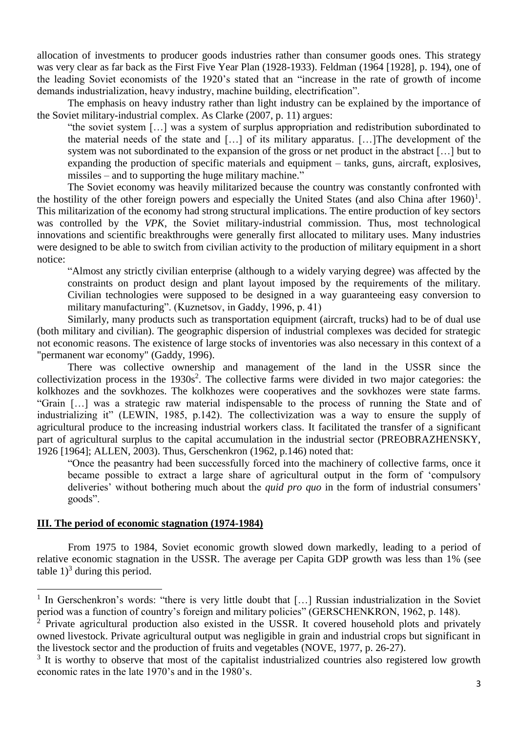allocation of investments to producer goods industries rather than consumer goods ones. This strategy was very clear as far back as the First Five Year Plan (1928-1933). Feldman (1964 [1928], p. 194), one of the leading Soviet economists of the 1920's stated that an "increase in the rate of growth of income demands industrialization, heavy industry, machine building, electrification".

The emphasis on heavy industry rather than light industry can be explained by the importance of the Soviet military-industrial complex. As Clarke (2007, p. 11) argues:

"the soviet system […] was a system of surplus appropriation and redistribution subordinated to the material needs of the state and […] of its military apparatus. […]The development of the system was not subordinated to the expansion of the gross or net product in the abstract […] but to expanding the production of specific materials and equipment – tanks, guns, aircraft, explosives, missiles – and to supporting the huge military machine."

The Soviet economy was heavily militarized because the country was constantly confronted with the hostility of the other foreign powers and especially the United States (and also China after  $1960$ )<sup>1</sup>. This militarization of the economy had strong structural implications. The entire production of key sectors was controlled by the *VPK*, the Soviet military-industrial commission. Thus, most technological innovations and scientific breakthroughs were generally first allocated to military uses. Many industries were designed to be able to switch from civilian activity to the production of military equipment in a short notice:

"Almost any strictly civilian enterprise (although to a widely varying degree) was affected by the constraints on product design and plant layout imposed by the requirements of the military. Civilian technologies were supposed to be designed in a way guaranteeing easy conversion to military manufacturing". (Kuznetsov, in Gaddy, 1996, p. 41)

Similarly, many products such as transportation equipment (aircraft, trucks) had to be of dual use (both military and civilian). The geographic dispersion of industrial complexes was decided for strategic not economic reasons. The existence of large stocks of inventories was also necessary in this context of a "permanent war economy" (Gaddy, 1996).

There was collective ownership and management of the land in the USSR since the collectivization process in the  $1930s^2$ . The collective farms were divided in two major categories: the kolkhozes and the sovkhozes. The kolkhozes were cooperatives and the sovkhozes were state farms. "Grain […] was a strategic raw material indispensable to the process of running the State and of industrializing it" (LEWIN, 1985, p.142). The collectivization was a way to ensure the supply of agricultural produce to the increasing industrial workers class. It facilitated the transfer of a significant part of agricultural surplus to the capital accumulation in the industrial sector (PREOBRAZHENSKY, 1926 [1964]; ALLEN, 2003). Thus, Gerschenkron (1962, p.146) noted that:

"Once the peasantry had been successfully forced into the machinery of collective farms, once it became possible to extract a large share of agricultural output in the form of 'compulsory deliveries' without bothering much about the *quid pro quo* in the form of industrial consumers' goods".

## **III. The period of economic stagnation (1974-1984)**

 $\overline{a}$ 

From 1975 to 1984, Soviet economic growth slowed down markedly, leading to a period of relative economic stagnation in the USSR. The average per Capita GDP growth was less than 1% (see table  $1$ <sup>3</sup> during this period.

<sup>&</sup>lt;sup>1</sup> In Gerschenkron's words: "there is very little doubt that [...] Russian industrialization in the Soviet period was a function of country's foreign and military policies" (GERSCHENKRON, 1962, p. 148).

 $^2$  Private agricultural production also existed in the USSR. It covered household plots and privately owned livestock. Private agricultural output was negligible in grain and industrial crops but significant in the livestock sector and the production of fruits and vegetables (NOVE, 1977, p. 26-27).

<sup>&</sup>lt;sup>3</sup> It is worthy to observe that most of the capitalist industrialized countries also registered low growth economic rates in the late 1970's and in the 1980's.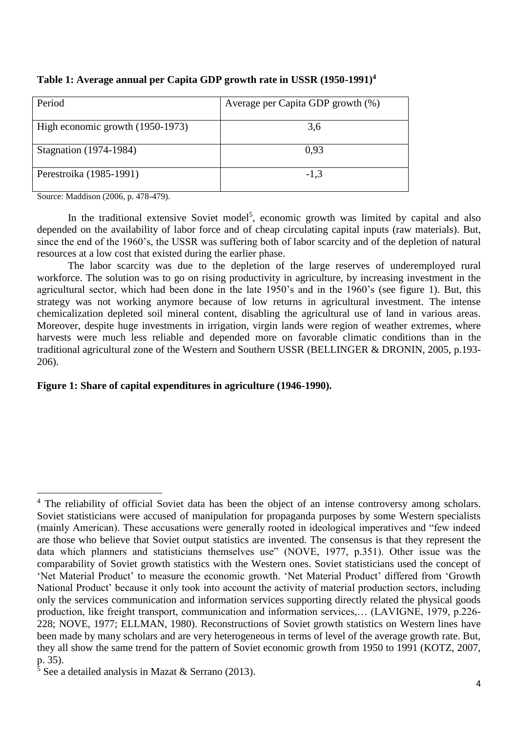| Period                           | Average per Capita GDP growth (%) |
|----------------------------------|-----------------------------------|
| High economic growth (1950-1973) | 3,6                               |
| Stagnation (1974-1984)           | 0.93                              |
| Perestroika (1985-1991)          | $-1.3$                            |

**Table 1: Average annual per Capita GDP growth rate in USSR (1950-1991)<sup>4</sup>**

Source: Maddison (2006, p. 478-479).

In the traditional extensive Soviet model<sup>5</sup>, economic growth was limited by capital and also depended on the availability of labor force and of cheap circulating capital inputs (raw materials). But, since the end of the 1960's, the USSR was suffering both of labor scarcity and of the depletion of natural resources at a low cost that existed during the earlier phase.

The labor scarcity was due to the depletion of the large reserves of underemployed rural workforce. The solution was to go on rising productivity in agriculture, by increasing investment in the agricultural sector, which had been done in the late 1950's and in the 1960's (see figure 1). But, this strategy was not working anymore because of low returns in agricultural investment. The intense chemicalization depleted soil mineral content, disabling the agricultural use of land in various areas. Moreover, despite huge investments in irrigation, virgin lands were region of weather extremes, where harvests were much less reliable and depended more on favorable climatic conditions than in the traditional agricultural zone of the Western and Southern USSR (BELLINGER & DRONIN, 2005, p.193- 206).

## **Figure 1: Share of capital expenditures in agriculture (1946-1990).**

 $\overline{a}$ <sup>4</sup> The reliability of official Soviet data has been the object of an intense controversy among scholars. Soviet statisticians were accused of manipulation for propaganda purposes by some Western specialists (mainly American). These accusations were generally rooted in ideological imperatives and "few indeed are those who believe that Soviet output statistics are invented. The consensus is that they represent the data which planners and statisticians themselves use" (NOVE, 1977, p.351). Other issue was the comparability of Soviet growth statistics with the Western ones. Soviet statisticians used the concept of 'Net Material Product' to measure the economic growth. 'Net Material Product' differed from 'Growth National Product' because it only took into account the activity of material production sectors, including only the services communication and information services supporting directly related the physical goods production, like freight transport, communication and information services,… (LAVIGNE, 1979, p.226- 228; NOVE, 1977; ELLMAN, 1980). Reconstructions of Soviet growth statistics on Western lines have been made by many scholars and are very heterogeneous in terms of level of the average growth rate. But, they all show the same trend for the pattern of Soviet economic growth from 1950 to 1991 (KOTZ, 2007, p. 35).

 $\frac{5}{5}$  See a detailed analysis in Mazat & Serrano (2013).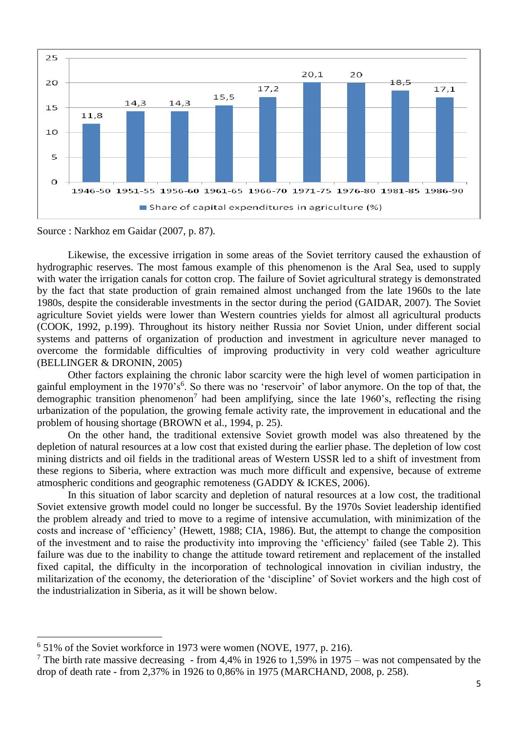

Source : Narkhoz em Gaidar (2007, p. 87).

Likewise, the excessive irrigation in some areas of the Soviet territory caused the exhaustion of hydrographic reserves. The most famous example of this phenomenon is the Aral Sea, used to supply with water the irrigation canals for cotton crop. The failure of Soviet agricultural strategy is demonstrated by the fact that state production of grain remained almost unchanged from the late 1960s to the late 1980s, despite the considerable investments in the sector during the period (GAIDAR, 2007). The Soviet agriculture Soviet yields were lower than Western countries yields for almost all agricultural products (COOK, 1992, p.199). Throughout its history neither Russia nor Soviet Union, under different social systems and patterns of organization of production and investment in agriculture never managed to overcome the formidable difficulties of improving productivity in very cold weather agriculture (BELLINGER & DRONIN, 2005)

Other factors explaining the chronic labor scarcity were the high level of women participation in gainful employment in the 1970's<sup>6</sup>. So there was no 'reservoir' of labor anymore. On the top of that, the demographic transition phenomenon<sup>7</sup> had been amplifying, since the late 1960's, reflecting the rising urbanization of the population, the growing female activity rate, the improvement in educational and the problem of housing shortage (BROWN et al., 1994, p. 25).

On the other hand, the traditional extensive Soviet growth model was also threatened by the depletion of natural resources at a low cost that existed during the earlier phase. The depletion of low cost mining districts and oil fields in the traditional areas of Western USSR led to a shift of investment from these regions to Siberia, where extraction was much more difficult and expensive, because of extreme atmospheric conditions and geographic remoteness (GADDY & ICKES, 2006).

In this situation of labor scarcity and depletion of natural resources at a low cost, the traditional Soviet extensive growth model could no longer be successful. By the 1970s Soviet leadership identified the problem already and tried to move to a regime of intensive accumulation, with minimization of the costs and increase of 'efficiency' (Hewett, 1988; CIA, 1986). But, the attempt to change the composition of the investment and to raise the productivity into improving the 'efficiency' failed (see Table 2). This failure was due to the inability to change the attitude toward retirement and replacement of the installed fixed capital, the difficulty in the incorporation of technological innovation in civilian industry, the militarization of the economy, the deterioration of the 'discipline' of Soviet workers and the high cost of the industrialization in Siberia, as it will be shown below.

<sup>&</sup>lt;sup>6</sup> 51% of the Soviet workforce in 1973 were women (NOVE, 1977, p. 216).

<sup>&</sup>lt;sup>7</sup> The birth rate massive decreasing - from 4,4% in 1926 to 1,59% in 1975 – was not compensated by the drop of death rate - from 2,37% in 1926 to 0,86% in 1975 (MARCHAND, 2008, p. 258).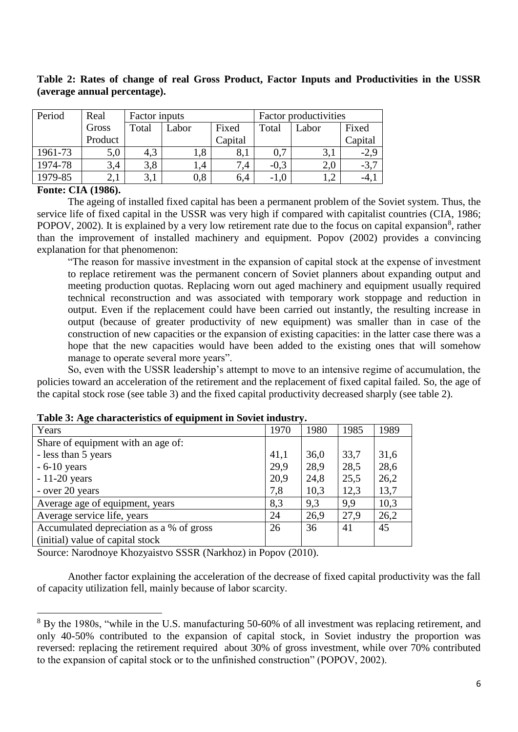| Period  | Real    | Factor inputs |                |         | Factor productivities |                      |         |
|---------|---------|---------------|----------------|---------|-----------------------|----------------------|---------|
|         | Gross   | Total         | Fixed<br>Labor |         | Total                 | Labor                | Fixed   |
|         | Product |               |                | Capital |                       |                      | Capital |
| 1961-73 | 5,0     | 4.3           | 1,8            | 8,1     | 0,7                   | 3,1                  |         |
| 1974-78 | 3,4     | 3,8           | $\mathsf{L}4$  | 7,4     | $-0.3$                | 2,0                  | $-3.7$  |
| 1979-85 |         |               | 0,8            | 6,4     | $-1.0$                | $\cdot$ <sup>2</sup> |         |

**Table 2: Rates of change of real Gross Product, Factor Inputs and Productivities in the USSR (average annual percentage).**

## **Fonte: CIA (1986).**

 $\ddot{\phantom{a}}$ 

The ageing of installed fixed capital has been a permanent problem of the Soviet system. Thus, the service life of fixed capital in the USSR was very high if compared with capitalist countries (CIA, 1986; POPOV, 2002). It is explained by a very low retirement rate due to the focus on capital expansion<sup>8</sup>, rather than the improvement of installed machinery and equipment. Popov (2002) provides a convincing explanation for that phenomenon:

"The reason for massive investment in the expansion of capital stock at the expense of investment to replace retirement was the permanent concern of Soviet planners about expanding output and meeting production quotas. Replacing worn out aged machinery and equipment usually required technical reconstruction and was associated with temporary work stoppage and reduction in output. Even if the replacement could have been carried out instantly, the resulting increase in output (because of greater productivity of new equipment) was smaller than in case of the construction of new capacities or the expansion of existing capacities: in the latter case there was a hope that the new capacities would have been added to the existing ones that will somehow manage to operate several more years".

So, even with the USSR leadership's attempt to move to an intensive regime of accumulation, the policies toward an acceleration of the retirement and the replacement of fixed capital failed. So, the age of the capital stock rose (see table 3) and the fixed capital productivity decreased sharply (see table 2).

| Years                                    | 1970 | 1980 | 1985 | 1989 |
|------------------------------------------|------|------|------|------|
| Share of equipment with an age of:       |      |      |      |      |
| - less than 5 years                      | 41,1 | 36,0 | 33,7 | 31,6 |
| $-6-10$ years                            | 29,9 | 28,9 | 28,5 | 28,6 |
| $-11-20$ years                           | 20,9 | 24,8 | 25,5 | 26,2 |
| - over 20 years                          | 7,8  | 10,3 | 12,3 | 13,7 |
| Average age of equipment, years          | 8,3  | 9,3  | 9.9  | 10,3 |
| Average service life, years              | 24   | 26,9 | 27,9 | 26,2 |
| Accumulated depreciation as a % of gross | 26   | 36   | 41   | 45   |
| (initial) value of capital stock         |      |      |      |      |

**Table 3: Age characteristics of equipment in Soviet industry.**

Source: Narodnoye Khozyaistvo SSSR (Narkhoz) in Popov (2010).

Another factor explaining the acceleration of the decrease of fixed capital productivity was the fall of capacity utilization fell, mainly because of labor scarcity.

<sup>&</sup>lt;sup>8</sup> By the 1980s, "while in the U.S. manufacturing 50-60% of all investment was replacing retirement, and only 40-50% contributed to the expansion of capital stock, in Soviet industry the proportion was reversed: replacing the retirement required about 30% of gross investment, while over 70% contributed to the expansion of capital stock or to the unfinished construction" (POPOV, 2002).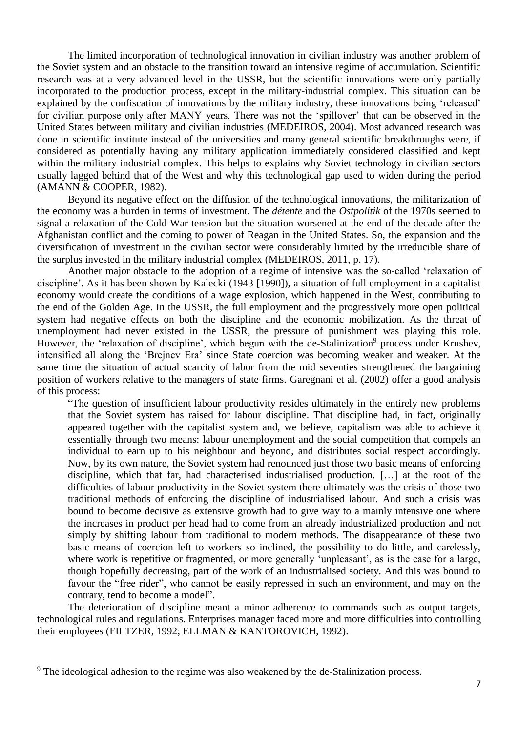The limited incorporation of technological innovation in civilian industry was another problem of the Soviet system and an obstacle to the transition toward an intensive regime of accumulation. Scientific research was at a very advanced level in the USSR, but the scientific innovations were only partially incorporated to the production process, except in the military-industrial complex. This situation can be explained by the confiscation of innovations by the military industry, these innovations being 'released' for civilian purpose only after MANY years. There was not the 'spillover' that can be observed in the United States between military and civilian industries (MEDEIROS, 2004). Most advanced research was done in scientific institute instead of the universities and many general scientific breakthroughs were, if considered as potentially having any military application immediately considered classified and kept within the military industrial complex. This helps to explains why Soviet technology in civilian sectors usually lagged behind that of the West and why this technological gap used to widen during the period (AMANN & COOPER, 1982).

Beyond its negative effect on the diffusion of the technological innovations, the militarization of the economy was a burden in terms of investment. The *détente* and the *Ostpolitik* of the 1970s seemed to signal a relaxation of the Cold War tension but the situation worsened at the end of the decade after the Afghanistan conflict and the coming to power of Reagan in the United States. So, the expansion and the diversification of investment in the civilian sector were considerably limited by the irreducible share of the surplus invested in the military industrial complex (MEDEIROS, 2011, p. 17).

Another major obstacle to the adoption of a regime of intensive was the so-called 'relaxation of discipline'. As it has been shown by Kalecki (1943 [1990]), a situation of full employment in a capitalist economy would create the conditions of a wage explosion, which happened in the West, contributing to the end of the Golden Age. In the USSR, the full employment and the progressively more open political system had negative effects on both the discipline and the economic mobilization. As the threat of unemployment had never existed in the USSR, the pressure of punishment was playing this role. However, the 'relaxation of discipline', which begun with the de-Stalinization<sup>9</sup> process under Krushev, intensified all along the 'Brejnev Era' since State coercion was becoming weaker and weaker. At the same time the situation of actual scarcity of labor from the mid seventies strengthened the bargaining position of workers relative to the managers of state firms. Garegnani et al. (2002) offer a good analysis of this process:

"The question of insufficient labour productivity resides ultimately in the entirely new problems that the Soviet system has raised for labour discipline. That discipline had, in fact, originally appeared together with the capitalist system and, we believe, capitalism was able to achieve it essentially through two means: labour unemployment and the social competition that compels an individual to earn up to his neighbour and beyond, and distributes social respect accordingly. Now, by its own nature, the Soviet system had renounced just those two basic means of enforcing discipline, which that far, had characterised industrialised production. […] at the root of the difficulties of labour productivity in the Soviet system there ultimately was the crisis of those two traditional methods of enforcing the discipline of industrialised labour. And such a crisis was bound to become decisive as extensive growth had to give way to a mainly intensive one where the increases in product per head had to come from an already industrialized production and not simply by shifting labour from traditional to modern methods. The disappearance of these two basic means of coercion left to workers so inclined, the possibility to do little, and carelessly, where work is repetitive or fragmented, or more generally 'unpleasant', as is the case for a large, though hopefully decreasing, part of the work of an industrialised society. And this was bound to favour the "free rider", who cannot be easily repressed in such an environment, and may on the contrary, tend to become a model".

The deterioration of discipline meant a minor adherence to commands such as output targets, technological rules and regulations. Enterprises manager faced more and more difficulties into controlling their employees (FILTZER, 1992; ELLMAN & KANTOROVICH, 1992).

<sup>&</sup>lt;sup>9</sup> The ideological adhesion to the regime was also weakened by the de-Stalinization process.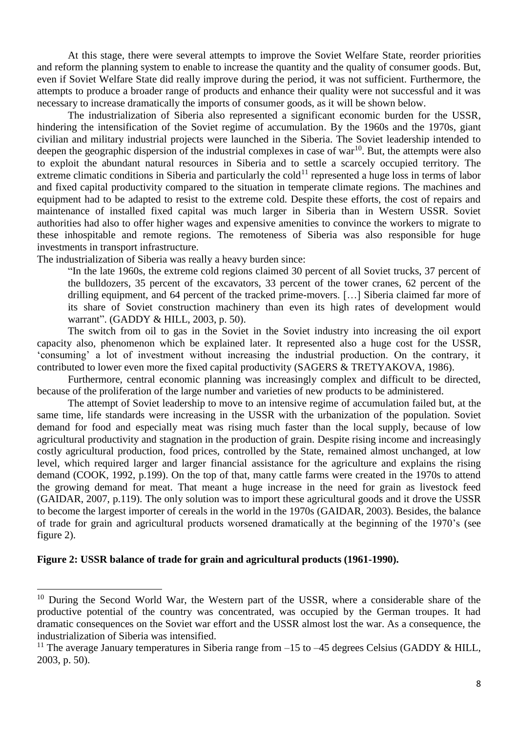At this stage, there were several attempts to improve the Soviet Welfare State, reorder priorities and reform the planning system to enable to increase the quantity and the quality of consumer goods. But, even if Soviet Welfare State did really improve during the period, it was not sufficient. Furthermore, the attempts to produce a broader range of products and enhance their quality were not successful and it was necessary to increase dramatically the imports of consumer goods, as it will be shown below.

The industrialization of Siberia also represented a significant economic burden for the USSR, hindering the intensification of the Soviet regime of accumulation. By the 1960s and the 1970s, giant civilian and military industrial projects were launched in the Siberia. The Soviet leadership intended to deepen the geographic dispersion of the industrial complexes in case of war<sup>10</sup>. But, the attempts were also to exploit the abundant natural resources in Siberia and to settle a scarcely occupied territory. The extreme climatic conditions in Siberia and particularly the cold<sup>11</sup> represented a huge loss in terms of labor and fixed capital productivity compared to the situation in temperate climate regions. The machines and equipment had to be adapted to resist to the extreme cold. Despite these efforts, the cost of repairs and maintenance of installed fixed capital was much larger in Siberia than in Western USSR. Soviet authorities had also to offer higher wages and expensive amenities to convince the workers to migrate to these inhospitable and remote regions. The remoteness of Siberia was also responsible for huge investments in transport infrastructure.

The industrialization of Siberia was really a heavy burden since:

"In the late 1960s, the extreme cold regions claimed 30 percent of all Soviet trucks, 37 percent of the bulldozers, 35 percent of the excavators, 33 percent of the tower cranes, 62 percent of the drilling equipment, and 64 percent of the tracked prime-movers. […] Siberia claimed far more of its share of Soviet construction machinery than even its high rates of development would warrant". (GADDY & HILL, 2003, p. 50).

The switch from oil to gas in the Soviet in the Soviet industry into increasing the oil export capacity also, phenomenon which be explained later. It represented also a huge cost for the USSR, 'consuming' a lot of investment without increasing the industrial production. On the contrary, it contributed to lower even more the fixed capital productivity (SAGERS & TRETYAKOVA, 1986).

Furthermore, central economic planning was increasingly complex and difficult to be directed, because of the proliferation of the large number and varieties of new products to be administered.

The attempt of Soviet leadership to move to an intensive regime of accumulation failed but, at the same time, life standards were increasing in the USSR with the urbanization of the population. Soviet demand for food and especially meat was rising much faster than the local supply, because of low agricultural productivity and stagnation in the production of grain. Despite rising income and increasingly costly agricultural production, food prices, controlled by the State, remained almost unchanged, at low level, which required larger and larger financial assistance for the agriculture and explains the rising demand (COOK, 1992, p.199). On the top of that, many cattle farms were created in the 1970s to attend the growing demand for meat. That meant a huge increase in the need for grain as livestock feed (GAIDAR, 2007, p.119). The only solution was to import these agricultural goods and it drove the USSR to become the largest importer of cereals in the world in the 1970s (GAIDAR, 2003). Besides, the balance of trade for grain and agricultural products worsened dramatically at the beginning of the 1970's (see figure 2).

### **Figure 2: USSR balance of trade for grain and agricultural products (1961-1990).**

 $10$  During the Second World War, the Western part of the USSR, where a considerable share of the productive potential of the country was concentrated, was occupied by the German troupes. It had dramatic consequences on the Soviet war effort and the USSR almost lost the war. As a consequence, the industrialization of Siberia was intensified.

<sup>&</sup>lt;sup>11</sup> The average January temperatures in Siberia range from  $-15$  to  $-45$  degrees Celsius (GADDY & HILL, 2003, p. 50).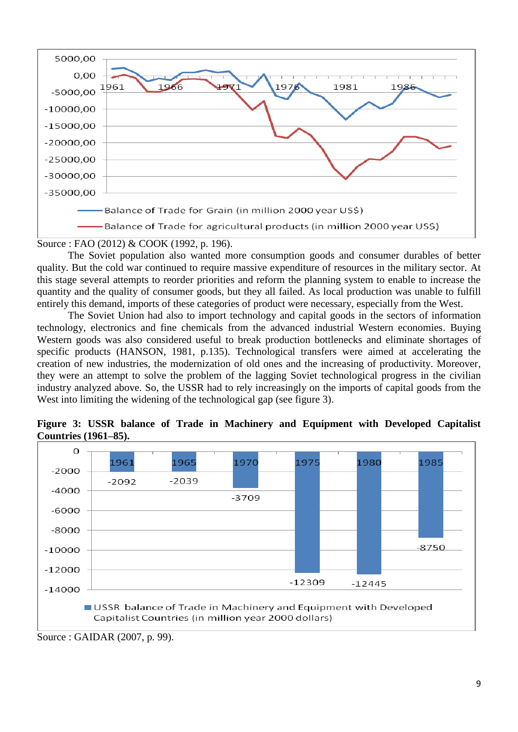

Source : FAO (2012) & COOK (1992, p. 196).

The Soviet population also wanted more consumption goods and consumer durables of better quality. But the cold war continued to require massive expenditure of resources in the military sector. At this stage several attempts to reorder priorities and reform the planning system to enable to increase the quantity and the quality of consumer goods, but they all failed. As local production was unable to fulfill entirely this demand, imports of these categories of product were necessary, especially from the West.

The Soviet Union had also to import technology and capital goods in the sectors of information technology, electronics and fine chemicals from the advanced industrial Western economies. Buying Western goods was also considered useful to break production bottlenecks and eliminate shortages of specific products (HANSON, 1981, p.135). Technological transfers were aimed at accelerating the creation of new industries, the modernization of old ones and the increasing of productivity. Moreover, they were an attempt to solve the problem of the lagging Soviet technological progress in the civilian industry analyzed above. So, the USSR had to rely increasingly on the imports of capital goods from the West into limiting the widening of the technological gap (see figure 3).





Source : GAIDAR (2007, p. 99).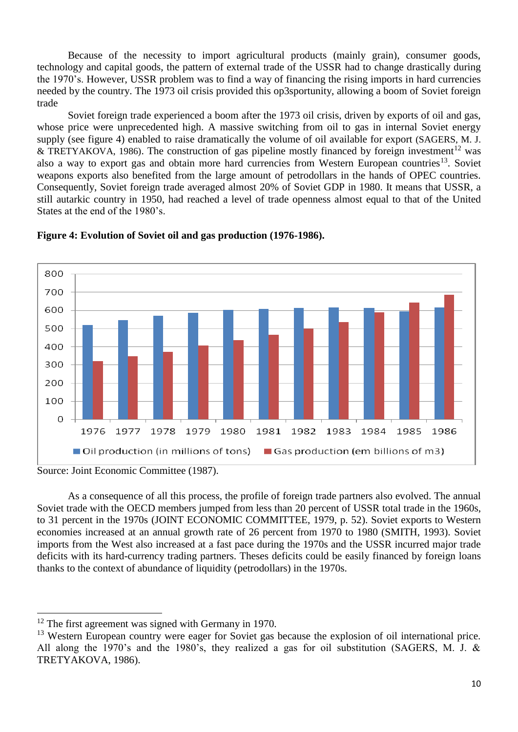Because of the necessity to import agricultural products (mainly grain), consumer goods, technology and capital goods, the pattern of external trade of the USSR had to change drastically during the 1970's. However, USSR problem was to find a way of financing the rising imports in hard currencies needed by the country. The 1973 oil crisis provided this op3sportunity, allowing a boom of Soviet foreign trade

Soviet foreign trade experienced a boom after the 1973 oil crisis, driven by exports of oil and gas, whose price were unprecedented high. A massive switching from oil to gas in internal Soviet energy supply (see figure 4) enabled to raise dramatically the volume of oil available for export (SAGERS, M. J. & TRETYAKOVA, 1986). The construction of gas pipeline mostly financed by foreign investment<sup>12</sup> was also a way to export gas and obtain more hard currencies from Western European countries<sup>13</sup>. Soviet weapons exports also benefited from the large amount of petrodollars in the hands of OPEC countries. Consequently, Soviet foreign trade averaged almost 20% of Soviet GDP in 1980. It means that USSR, a still autarkic country in 1950, had reached a level of trade openness almost equal to that of the United States at the end of the 1980's.



### **Figure 4: Evolution of Soviet oil and gas production (1976-1986).**

 $\ddot{\phantom{a}}$ 

As a consequence of all this process, the profile of foreign trade partners also evolved. The annual Soviet trade with the OECD members jumped from less than 20 percent of USSR total trade in the 1960s, to 31 percent in the 1970s (JOINT ECONOMIC COMMITTEE, 1979, p. 52). Soviet exports to Western economies increased at an annual growth rate of 26 percent from 1970 to 1980 (SMITH, 1993). Soviet imports from the West also increased at a fast pace during the 1970s and the USSR incurred major trade deficits with its hard-currency trading partners. Theses deficits could be easily financed by foreign loans thanks to the context of abundance of liquidity (petrodollars) in the 1970s.

Source: Joint Economic Committee (1987).

 $12$  The first agreement was signed with Germany in 1970.

<sup>&</sup>lt;sup>13</sup> Western European country were eager for Soviet gas because the explosion of oil international price. All along the 1970's and the 1980's, they realized a gas for oil substitution (SAGERS, M. J. & TRETYAKOVA, 1986).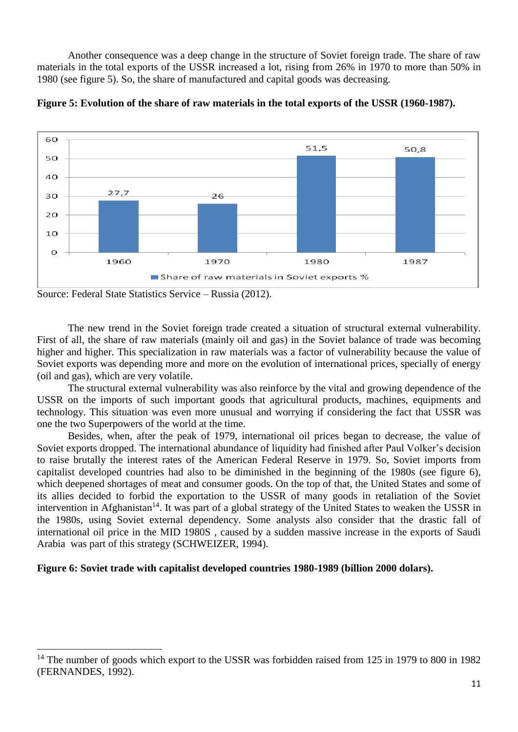Another consequence was a deep change in the structure of Soviet foreign trade. The share of raw materials in the total exports of the USSR increased a lot, rising from 26% in 1970 to more than 50% in 1980 (see figure 5). So, the share of manufactured and capital goods was decreasing.



**Figure 5: Evolution of the share of raw materials in the total exports of the USSR (1960-1987).**

 $\overline{a}$ 

The new trend in the Soviet foreign trade created a situation of structural external vulnerability. First of all, the share of raw materials (mainly oil and gas) in the Soviet balance of trade was becoming higher and higher. This specialization in raw materials was a factor of vulnerability because the value of Soviet exports was depending more and more on the evolution of international prices, specially of energy (oil and gas), which are very volatile.

The structural external vulnerability was also reinforce by the vital and growing dependence of the USSR on the imports of such important goods that agricultural products, machines, equipments and technology. This situation was even more unusual and worrying if considering the fact that USSR was one the two Superpowers of the world at the time.

Besides, when, after the peak of 1979, international oil prices began to decrease, the value of Soviet exports dropped. The international abundance of liquidity had finished after Paul Volker's decision to raise brutally the interest rates of the American Federal Reserve in 1979. So, Soviet imports from capitalist developed countries had also to be diminished in the beginning of the 1980s (see figure 6), which deepened shortages of meat and consumer goods. On the top of that, the United States and some of its allies decided to forbid the exportation to the USSR of many goods in retaliation of the Soviet intervention in Afghanistan<sup>14</sup>. It was part of a global strategy of the United States to weaken the USSR in the 1980s, using Soviet external dependency. Some analysts also consider that the drastic fall of international oil price in the MID 1980S , caused by a sudden massive increase in the exports of Saudi Arabia was part of this strategy (SCHWEIZER, 1994).

## **Figure 6: Soviet trade with capitalist developed countries 1980-1989 (billion 2000 dolars).**

Source: Federal State Statistics Service – Russia (2012).

<sup>&</sup>lt;sup>14</sup> The number of goods which export to the USSR was forbidden raised from 125 in 1979 to 800 in 1982 (FERNANDES, 1992).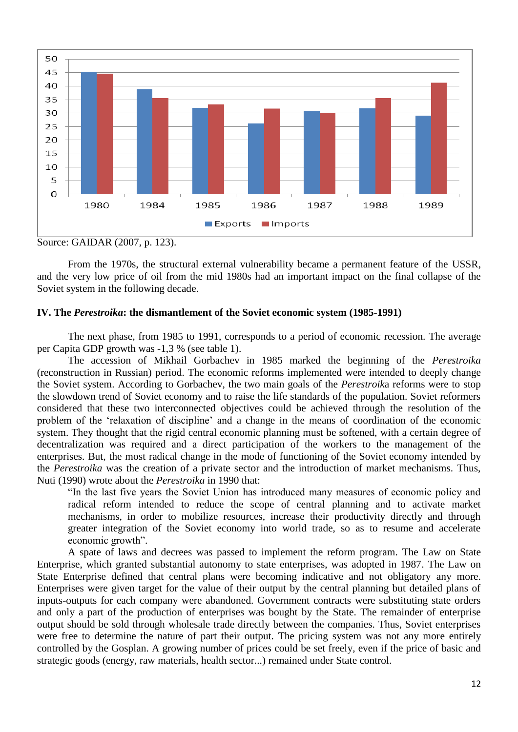

Source: GAIDAR (2007, p. 123).

From the 1970s, the structural external vulnerability became a permanent feature of the USSR, and the very low price of oil from the mid 1980s had an important impact on the final collapse of the Soviet system in the following decade.

## **IV. The** *Perestroika***: the dismantlement of the Soviet economic system (1985-1991)**

The next phase, from 1985 to 1991, corresponds to a period of economic recession. The average per Capita GDP growth was -1,3 % (see table 1).

The accession of Mikhail Gorbachev in 1985 marked the beginning of the *Perestroika* (reconstruction in Russian) period. The economic reforms implemented were intended to deeply change the Soviet system. According to Gorbachev, the two main goals of the *Perestroik*a reforms were to stop the slowdown trend of Soviet economy and to raise the life standards of the population. Soviet reformers considered that these two interconnected objectives could be achieved through the resolution of the problem of the 'relaxation of discipline' and a change in the means of coordination of the economic system. They thought that the rigid central economic planning must be softened, with a certain degree of decentralization was required and a direct participation of the workers to the management of the enterprises. But, the most radical change in the mode of functioning of the Soviet economy intended by the *Perestroika* was the creation of a private sector and the introduction of market mechanisms. Thus, Nuti (1990) wrote about the *Perestroika* in 1990 that:

"In the last five years the Soviet Union has introduced many measures of economic policy and radical reform intended to reduce the scope of central planning and to activate market mechanisms, in order to mobilize resources, increase their productivity directly and through greater integration of the Soviet economy into world trade, so as to resume and accelerate economic growth".

A spate of laws and decrees was passed to implement the reform program. The Law on State Enterprise, which granted substantial autonomy to state enterprises, was adopted in 1987. The Law on State Enterprise defined that central plans were becoming indicative and not obligatory any more. Enterprises were given target for the value of their output by the central planning but detailed plans of inputs-outputs for each company were abandoned. Government contracts were substituting state orders and only a part of the production of enterprises was bought by the State. The remainder of enterprise output should be sold through wholesale trade directly between the companies. Thus, Soviet enterprises were free to determine the nature of part their output. The pricing system was not any more entirely controlled by the Gosplan. A growing number of prices could be set freely, even if the price of basic and strategic goods (energy, raw materials, health sector...) remained under State control.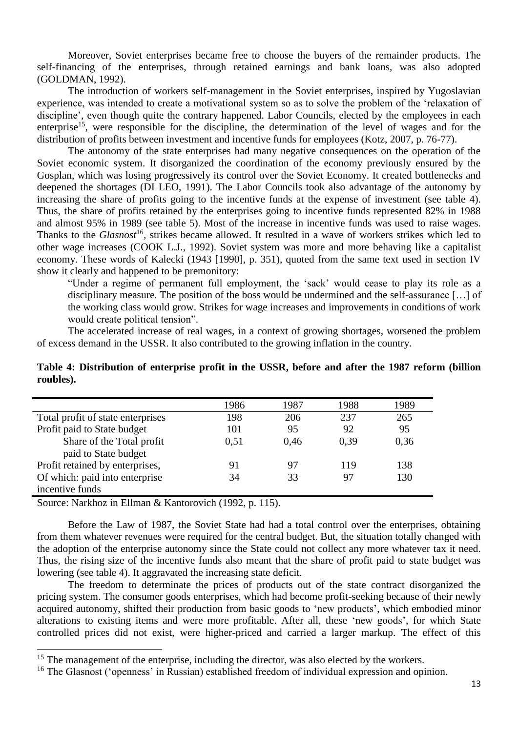Moreover, Soviet enterprises became free to choose the buyers of the remainder products. The self-financing of the enterprises, through retained earnings and bank loans, was also adopted (GOLDMAN, 1992).

The introduction of workers self-management in the Soviet enterprises, inspired by Yugoslavian experience, was intended to create a motivational system so as to solve the problem of the 'relaxation of discipline', even though quite the contrary happened. Labor Councils, elected by the employees in each enterprise<sup>15</sup>, were responsible for the discipline, the determination of the level of wages and for the distribution of profits between investment and incentive funds for employees (Kotz, 2007, p. 76-77).

The autonomy of the state enterprises had many negative consequences on the operation of the Soviet economic system. It disorganized the coordination of the economy previously ensured by the Gosplan, which was losing progressively its control over the Soviet Economy. It created bottlenecks and deepened the shortages (DI LEO, 1991). The Labor Councils took also advantage of the autonomy by increasing the share of profits going to the incentive funds at the expense of investment (see table 4). Thus, the share of profits retained by the enterprises going to incentive funds represented 82% in 1988 and almost 95% in 1989 (see table 5). Most of the increase in incentive funds was used to raise wages. Thanks to the *Glasnost*<sup>16</sup>, strikes became allowed. It resulted in a wave of workers strikes which led to other wage increases (COOK L.J., 1992). Soviet system was more and more behaving like a capitalist economy. These words of Kalecki (1943 [1990], p. 351), quoted from the same text used in section IV show it clearly and happened to be premonitory:

"Under a regime of permanent full employment, the 'sack' would cease to play its role as a disciplinary measure. The position of the boss would be undermined and the self-assurance […] of the working class would grow. Strikes for wage increases and improvements in conditions of work would create political tension".

The accelerated increase of real wages, in a context of growing shortages, worsened the problem of excess demand in the USSR. It also contributed to the growing inflation in the country.

|                                   | 1986 | 1987 | 1988 | 1989 |
|-----------------------------------|------|------|------|------|
| Total profit of state enterprises | 198  | 206  | 237  | 265  |
| Profit paid to State budget       | 101  | 95   | 92   | 95   |
| Share of the Total profit         | 0.51 | 0.46 | 0.39 | 0.36 |
| paid to State budget              |      |      |      |      |
| Profit retained by enterprises,   | 91   | 97   | 119  | 138  |
| Of which: paid into enterprise    | 34   | 33   | 97   | 130  |
| incentive funds                   |      |      |      |      |

**Table 4: Distribution of enterprise profit in the USSR, before and after the 1987 reform (billion roubles).**

Source: Narkhoz in Ellman & Kantorovich (1992, p. 115).

 $\overline{a}$ 

Before the Law of 1987, the Soviet State had had a total control over the enterprises, obtaining from them whatever revenues were required for the central budget. But, the situation totally changed with the adoption of the enterprise autonomy since the State could not collect any more whatever tax it need. Thus, the rising size of the incentive funds also meant that the share of profit paid to state budget was lowering (see table 4). It aggravated the increasing state deficit.

The freedom to determinate the prices of products out of the state contract disorganized the pricing system. The consumer goods enterprises, which had become profit-seeking because of their newly acquired autonomy, shifted their production from basic goods to 'new products', which embodied minor alterations to existing items and were more profitable. After all, these 'new goods', for which State controlled prices did not exist, were higher-priced and carried a larger markup. The effect of this

<sup>&</sup>lt;sup>15</sup> The management of the enterprise, including the director, was also elected by the workers.

<sup>&</sup>lt;sup>16</sup> The Glasnost ('openness' in Russian) established freedom of individual expression and opinion.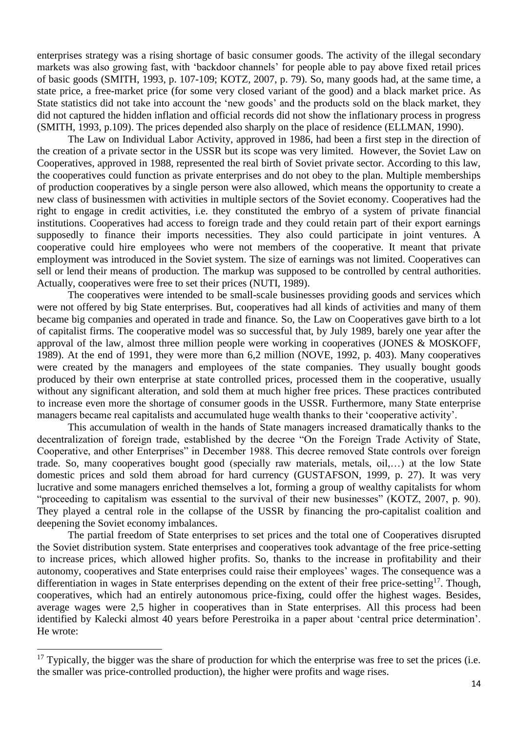enterprises strategy was a rising shortage of basic consumer goods. The activity of the illegal secondary markets was also growing fast, with 'backdoor channels' for people able to pay above fixed retail prices of basic goods (SMITH, 1993, p. 107-109; KOTZ, 2007, p. 79). So, many goods had, at the same time, a state price, a free-market price (for some very closed variant of the good) and a black market price. As State statistics did not take into account the 'new goods' and the products sold on the black market, they did not captured the hidden inflation and official records did not show the inflationary process in progress (SMITH, 1993, p.109). The prices depended also sharply on the place of residence (ELLMAN, 1990).

The Law on Individual Labor Activity, approved in 1986, had been a first step in the direction of the creation of a private sector in the USSR but its scope was very limited. However, the Soviet Law on Cooperatives, approved in 1988, represented the real birth of Soviet private sector. According to this law, the cooperatives could function as private enterprises and do not obey to the plan. Multiple memberships of production cooperatives by a single person were also allowed, which means the opportunity to create a new class of businessmen with activities in multiple sectors of the Soviet economy. Cooperatives had the right to engage in credit activities, i.e. they constituted the embryo of a system of private financial institutions. Cooperatives had access to foreign trade and they could retain part of their export earnings supposedly to finance their imports necessities. They also could participate in joint ventures. A cooperative could hire employees who were not members of the cooperative. It meant that private employment was introduced in the Soviet system. The size of earnings was not limited. Cooperatives can sell or lend their means of production. The markup was supposed to be controlled by central authorities. Actually, cooperatives were free to set their prices (NUTI, 1989).

The cooperatives were intended to be small-scale businesses providing goods and services which were not offered by big State enterprises. But, cooperatives had all kinds of activities and many of them became big companies and operated in trade and finance. So, the Law on Cooperatives gave birth to a lot of capitalist firms. The cooperative model was so successful that, by July 1989, barely one year after the approval of the law, almost three million people were working in cooperatives (JONES & MOSKOFF, 1989). At the end of 1991, they were more than 6,2 million (NOVE, 1992, p. 403). Many cooperatives were created by the managers and employees of the state companies. They usually bought goods produced by their own enterprise at state controlled prices, processed them in the cooperative, usually without any significant alteration, and sold them at much higher free prices. These practices contributed to increase even more the shortage of consumer goods in the USSR. Furthermore, many State enterprise managers became real capitalists and accumulated huge wealth thanks to their 'cooperative activity'.

This accumulation of wealth in the hands of State managers increased dramatically thanks to the decentralization of foreign trade, established by the decree "On the Foreign Trade Activity of State, Cooperative, and other Enterprises" in December 1988. This decree removed State controls over foreign trade. So, many cooperatives bought good (specially raw materials, metals, oil,…) at the low State domestic prices and sold them abroad for hard currency (GUSTAFSON, 1999, p. 27). It was very lucrative and some managers enriched themselves a lot, forming a group of wealthy capitalists for whom "proceeding to capitalism was essential to the survival of their new businesses" (KOTZ, 2007, p. 90). They played a central role in the collapse of the USSR by financing the pro-capitalist coalition and deepening the Soviet economy imbalances.

The partial freedom of State enterprises to set prices and the total one of Cooperatives disrupted the Soviet distribution system. State enterprises and cooperatives took advantage of the free price-setting to increase prices, which allowed higher profits. So, thanks to the increase in profitability and their autonomy, cooperatives and State enterprises could raise their employees' wages. The consequence was a differentiation in wages in State enterprises depending on the extent of their free price-setting<sup>17</sup>. Though, cooperatives, which had an entirely autonomous price-fixing, could offer the highest wages. Besides, average wages were 2,5 higher in cooperatives than in State enterprises. All this process had been identified by Kalecki almost 40 years before Perestroika in a paper about 'central price determination'. He wrote:

 $17$  Typically, the bigger was the share of production for which the enterprise was free to set the prices (i.e. the smaller was price-controlled production), the higher were profits and wage rises.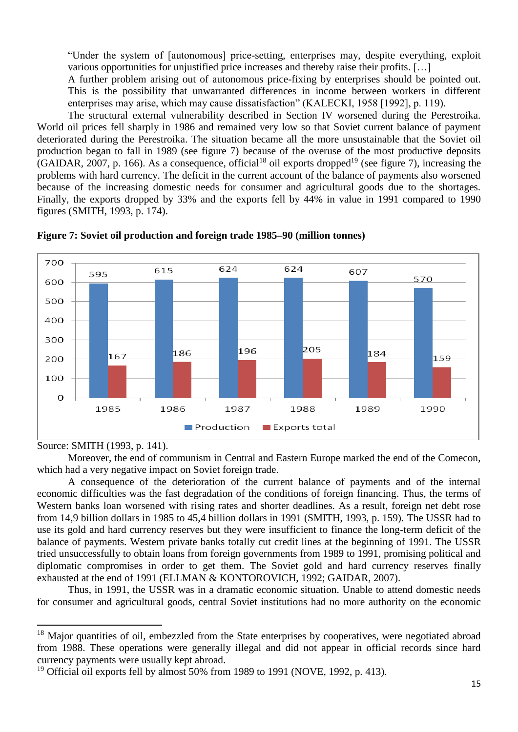"Under the system of [autonomous] price-setting, enterprises may, despite everything, exploit various opportunities for unjustified price increases and thereby raise their profits. […]

A further problem arising out of autonomous price-fixing by enterprises should be pointed out. This is the possibility that unwarranted differences in income between workers in different enterprises may arise, which may cause dissatisfaction" (KALECKI, 1958 [1992], p. 119).

The structural external vulnerability described in Section IV worsened during the Perestroika. World oil prices fell sharply in 1986 and remained very low so that Soviet current balance of payment deteriorated during the Perestroika. The situation became all the more unsustainable that the Soviet oil production began to fall in 1989 (see figure 7) because of the overuse of the most productive deposits  $(GAIDAR, 2007, p. 166)$ . As a consequence, official<sup>18</sup> oil exports dropped<sup>19</sup> (see figure 7), increasing the problems with hard currency. The deficit in the current account of the balance of payments also worsened because of the increasing domestic needs for consumer and agricultural goods due to the shortages. Finally, the exports dropped by 33% and the exports fell by 44% in value in 1991 compared to 1990 figures (SMITH, 1993, p. 174).





#### Source: SMITH (1993, p. 141).

 $\overline{a}$ 

Moreover, the end of communism in Central and Eastern Europe marked the end of the Comecon, which had a very negative impact on Soviet foreign trade.

A consequence of the deterioration of the current balance of payments and of the internal economic difficulties was the fast degradation of the conditions of foreign financing. Thus, the terms of Western banks loan worsened with rising rates and shorter deadlines. As a result, foreign net debt rose from 14,9 billion dollars in 1985 to 45,4 billion dollars in 1991 (SMITH, 1993, p. 159). The USSR had to use its gold and hard currency reserves but they were insufficient to finance the long-term deficit of the balance of payments. Western private banks totally cut credit lines at the beginning of 1991. The USSR tried unsuccessfully to obtain loans from foreign governments from 1989 to 1991, promising political and diplomatic compromises in order to get them. The Soviet gold and hard currency reserves finally exhausted at the end of 1991 (ELLMAN & KONTOROVICH, 1992; GAIDAR, 2007).

Thus, in 1991, the USSR was in a dramatic economic situation. Unable to attend domestic needs for consumer and agricultural goods, central Soviet institutions had no more authority on the economic

<sup>&</sup>lt;sup>18</sup> Major quantities of oil, embezzled from the State enterprises by cooperatives, were negotiated abroad from 1988. These operations were generally illegal and did not appear in official records since hard currency payments were usually kept abroad.

 $19$  Official oil exports fell by almost 50% from 1989 to 1991 (NOVE, 1992, p. 413).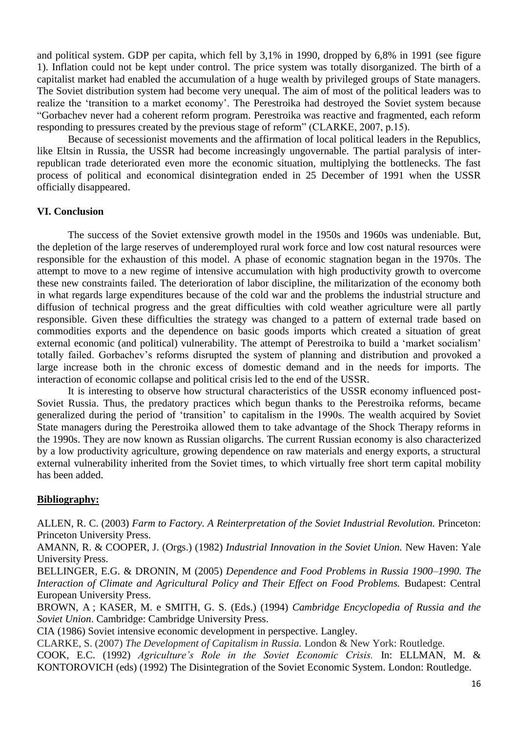and political system. GDP per capita, which fell by 3,1% in 1990, dropped by 6,8% in 1991 (see figure 1). Inflation could not be kept under control. The price system was totally disorganized. The birth of a capitalist market had enabled the accumulation of a huge wealth by privileged groups of State managers. The Soviet distribution system had become very unequal. The aim of most of the political leaders was to realize the 'transition to a market economy'. The Perestroika had destroyed the Soviet system because "Gorbachev never had a coherent reform program. Perestroika was reactive and fragmented, each reform responding to pressures created by the previous stage of reform" (CLARKE, 2007, p.15).

Because of secessionist movements and the affirmation of local political leaders in the Republics, like Eltsin in Russia, the USSR had become increasingly ungovernable. The partial paralysis of interrepublican trade deteriorated even more the economic situation, multiplying the bottlenecks. The fast process of political and economical disintegration ended in 25 December of 1991 when the USSR officially disappeared.

## **VI. Conclusion**

The success of the Soviet extensive growth model in the 1950s and 1960s was undeniable. But, the depletion of the large reserves of underemployed rural work force and low cost natural resources were responsible for the exhaustion of this model. A phase of economic stagnation began in the 1970s. The attempt to move to a new regime of intensive accumulation with high productivity growth to overcome these new constraints failed. The deterioration of labor discipline, the militarization of the economy both in what regards large expenditures because of the cold war and the problems the industrial structure and diffusion of technical progress and the great difficulties with cold weather agriculture were all partly responsible. Given these difficulties the strategy was changed to a pattern of external trade based on commodities exports and the dependence on basic goods imports which created a situation of great external economic (and political) vulnerability. The attempt of Perestroika to build a 'market socialism' totally failed. Gorbachev's reforms disrupted the system of planning and distribution and provoked a large increase both in the chronic excess of domestic demand and in the needs for imports. The interaction of economic collapse and political crisis led to the end of the USSR.

It is interesting to observe how structural characteristics of the USSR economy influenced post-Soviet Russia. Thus, the predatory practices which begun thanks to the Perestroika reforms, became generalized during the period of 'transition' to capitalism in the 1990s. The wealth acquired by Soviet State managers during the Perestroika allowed them to take advantage of the Shock Therapy reforms in the 1990s. They are now known as Russian oligarchs. The current Russian economy is also characterized by a low productivity agriculture, growing dependence on raw materials and energy exports, a structural external vulnerability inherited from the Soviet times, to which virtually free short term capital mobility has been added.

### **Bibliography:**

ALLEN, R. C. (2003) *Farm to Factory. A Reinterpretation of the Soviet Industrial Revolution.* Princeton: Princeton University Press.

AMANN, R. & COOPER, J. (Orgs.) (1982) *Industrial Innovation in the Soviet Union.* New Haven: Yale University Press.

BELLINGER, E.G. & DRONIN, M (2005) *Dependence and Food Problems in Russia 1900–1990. The Interaction of Climate and Agricultural Policy and Their Effect on Food Problems. Budapest: Central* European University Press.

BROWN, A ; KASER, M. e SMITH, G. S. (Eds.) (1994) *Cambridge Encyclopedia of Russia and the Soviet Union*. Cambridge: Cambridge University Press.

CIA (1986) Soviet intensive economic development in perspective. Langley.

CLARKE, S. (2007) *The Development of Capitalism in Russia.* London & New York: Routledge.

COOK, E.C. (1992) *Agriculture's Role in the Soviet Economic Crisis.* In: ELLMAN, M. & KONTOROVICH (eds) (1992) The Disintegration of the Soviet Economic System. London: Routledge.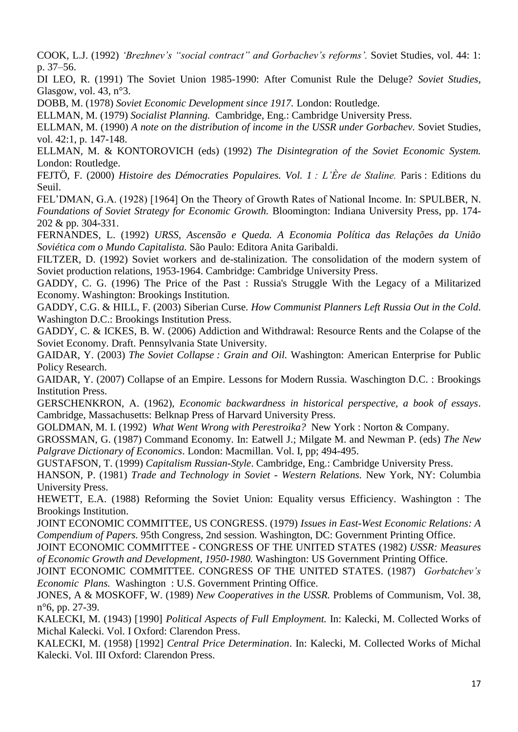COOK, L.J. (1992) *'Brezhnev's "social contract" and Gorbachev's reforms'.* Soviet Studies, vol. 44: 1: p. 37–56.

DI LEO, R. (1991) The Soviet Union 1985-1990: After Comunist Rule the Deluge? *Soviet Studies*, Glasgow, vol. 43, n°3.

DOBB, M. (1978) *Soviet Economic Development since 1917.* London: Routledge.

ELLMAN, M. (1979) *Socialist Planning.* Cambridge, Eng.: Cambridge University Press.

ELLMAN, M. (1990) *A note on the distribution of income in the USSR under Gorbachev.* Soviet Studies, vol. 42:1, p. 147-148.

ELLMAN, M. & KONTOROVICH (eds) (1992) *The Disintegration of the Soviet Economic System.*  London: Routledge.

FEJTÖ, F. (2000) *Histoire des Démocraties Populaires. Vol. 1 : L'Ère de Staline.* Paris : Editions du Seuil.

FEL'DMAN, G.A. (1928) [1964] On the Theory of Growth Rates of National Income. In: SPULBER, N. *Foundations of Soviet Strategy for Economic Growth.* Bloomington: Indiana University Press, pp. 174- 202 & pp. 304-331.

FERNANDES, L. (1992) *URSS, Ascensão e Queda. A Economia Política das Relações da União Soviética com o Mundo Capitalista.* São Paulo: Editora Anita Garibaldi.

FILTZER, D. (1992) Soviet workers and de-stalinization. The consolidation of the modern system of Soviet production relations, 1953-1964. Cambridge: Cambridge University Press.

GADDY, C. G. (1996) The Price of the Past : Russia's Struggle With the Legacy of a Militarized Economy. Washington: Brookings Institution.

GADDY, C.G. & HILL, F. (2003) Siberian Curse. *How Communist Planners Left Russia Out in the Cold.* Washington D.C.: Brookings Institution Press.

GADDY, C. & ICKES, B. W. (2006) Addiction and Withdrawal: Resource Rents and the Colapse of the Soviet Economy. Draft. Pennsylvania State University.

GAIDAR, Y. (2003) *The Soviet Collapse : Grain and Oil.* Washington: American Enterprise for Public Policy Research.

GAIDAR, Y. (2007) Collapse of an Empire. Lessons for Modern Russia. Waschington D.C. : Brookings Institution Press.

GERSCHENKRON, A. (1962), *Economic backwardness in historical perspective, a book of essays*. Cambridge, Massachusetts: Belknap Press of Harvard University Press.

GOLDMAN, M. I. (1992) *What Went Wrong with Perestroika?* New York : Norton & Company.

GROSSMAN, G. (1987) Command Economy. In: Eatwell J.; Milgate M. and Newman P. (eds) *The New Palgrave Dictionary of Economics*. London: Macmillan. Vol. I, pp; 494-495.

GUSTAFSON, T. (1999) *Capitalism Russian-Style*. Cambridge, Eng.: Cambridge University Press.

HANSON, P. (1981) *Trade and Technology in Soviet - Western Relations.* New York, NY: Columbia University Press.

HEWETT, E.A. (1988) Reforming the Soviet Union: Equality versus Efficiency. Washington : The Brookings Institution.

JOINT ECONOMIC COMMITTEE, US CONGRESS. (1979) *Issues in East-West Economic Relations: A Compendium of Papers.* 95th Congress, 2nd session. Washington, DC: Government Printing Office.

JOINT ECONOMIC COMMITTEE - CONGRESS OF THE UNITED STATES (1982) *USSR: Measures of Economic Growth and Development, 1950-1980.* Washington: US Government Printing Office.

JOINT ECONOMIC COMMITTEE. CONGRESS OF THE UNITED STATES. (1987) *Gorbatchev's Economic Plans.* Washington : U.S. Government Printing Office.

JONES, A & MOSKOFF, W. (1989) *New Cooperatives in the USSR.* Problems of Communism, Vol. 38, n°6, pp. 27-39.

KALECKI, M. (1943) [1990] *Political Aspects of Full Employment.* In: Kalecki, M. Collected Works of Michal Kalecki. Vol. I Oxford: Clarendon Press.

KALECKI, M. (1958) [1992] *Central Price Determination*. In: Kalecki, M. Collected Works of Michal Kalecki. Vol. III Oxford: Clarendon Press.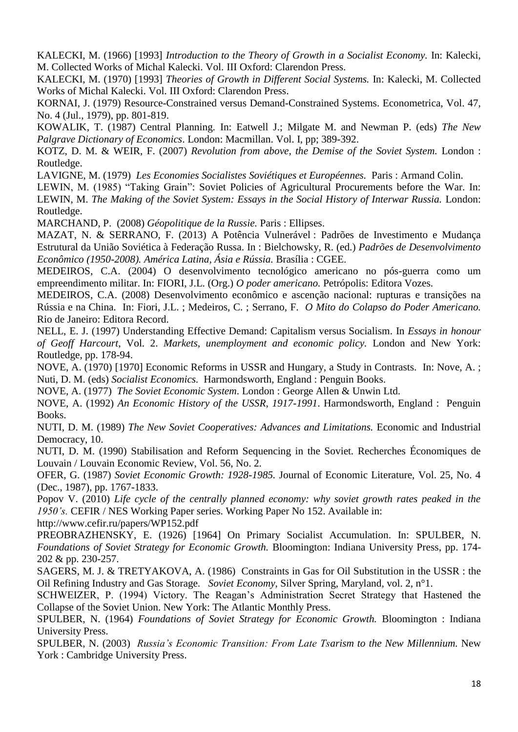KALECKI, M. (1966) [1993] *Introduction to the Theory of Growth in a Socialist Economy.* In: Kalecki, M. Collected Works of Michal Kalecki. Vol. III Oxford: Clarendon Press.

KALECKI, M. (1970) [1993] *Theories of Growth in Different Social Systems.* In: Kalecki, M. Collected Works of Michal Kalecki. Vol. III Oxford: Clarendon Press.

KORNAI, J. (1979) Resource-Constrained versus Demand-Constrained Systems. Econometrica, Vol. 47, No. 4 (Jul., 1979), pp. 801-819.

KOWALIK, T. (1987) Central Planning. In: Eatwell J.; Milgate M. and Newman P. (eds) *The New Palgrave Dictionary of Economics*. London: Macmillan. Vol. I, pp; 389-392.

KOTZ, D. M. & WEIR, F. (2007) *Revolution from above, the Demise of the Soviet System.* London : Routledge.

LAVIGNE, M. (1979) *Les Economies Socialistes Soviétiques et Européennes.* Paris : Armand Colin.

LEWIN, M. (1985) "Taking Grain": Soviet Policies of Agricultural Procurements before the War. In: LEWIN, M. *The Making of the Soviet System: Essays in the Social History of Interwar Russia.* London: Routledge.

MARCHAND, P. (2008) *Géopolitique de la Russie.* Paris : Ellipses.

MAZAT, N. & SERRANO, F. (2013) A Potência Vulnerável : Padrões de Investimento e Mudança Estrutural da União Soviética à Federação Russa. In : Bielchowsky, R. (ed.) *Padrões de Desenvolvimento Econômico (1950-2008). América Latina, Ásia e Rússia.* Brasília : CGEE.

MEDEIROS, C.A. (2004) O desenvolvimento tecnológico americano no pós-guerra como um empreendimento militar. In: FIORI, J.L. (Org.) *O poder americano.* Petrópolis: Editora Vozes.

MEDEIROS, C.A. (2008) Desenvolvimento econômico e ascenção nacional: rupturas e transições na Rússia e na China*.* In: Fiori, J.L. ; Medeiros, C. ; Serrano, F. *O Mito do Colapso do Poder Americano.* Rio de Janeiro: Editora Record.

NELL, E. J. (1997) Understanding Effective Demand: Capitalism versus Socialism. In *Essays in honour of Geoff Harcourt*, Vol. 2. *Markets, unemployment and economic policy.* London and New York: Routledge, pp. 178-94.

NOVE, A. (1970) [1970] Economic Reforms in USSR and Hungary, a Study in Contrasts*.* In: Nove, A. ; Nuti, D. M. (eds) *Socialist Economics.* Harmondsworth, England : Penguin Books.

NOVE, A. (1977) *The Soviet Economic System*. London : George Allen & Unwin Ltd.

NOVE, A. (1992) *An Economic History of the USSR, 1917-1991*. Harmondsworth, England : Penguin Books.

NUTI, D. M. (1989) *The New Soviet Cooperatives: Advances and Limitations.* Economic and Industrial Democracy, 10.

NUTI, D. M. (1990) Stabilisation and Reform Sequencing in the Soviet. Recherches Économiques de Louvain / Louvain Economic Review, Vol. 56, No. 2.

OFER, G. (1987) *Soviet Economic Growth: 1928-1985.* Journal of Economic Literature, Vol. 25, No. 4 (Dec., 1987), pp. 1767-1833.

Popov V. (2010) *Life cycle of the centrally planned economy: why soviet growth rates peaked in the 1950's.* CEFIR / NES Working Paper series. Working Paper No 152. Available in:

http://www.cefir.ru/papers/WP152.pdf

PREOBRAZHENSKY, E. (1926) [1964] On Primary Socialist Accumulation. In: SPULBER, N. *Foundations of Soviet Strategy for Economic Growth.* Bloomington: Indiana University Press, pp. 174- 202 & pp. 230-257.

SAGERS, M. J. & TRETYAKOVA, A. (1986) Constraints in Gas for Oil Substitution in the USSR : the Oil Refining Industry and Gas Storage. *Soviet Economy*, Silver Spring, Maryland, vol. 2, n°1.

SCHWEIZER, P. (1994) Victory. The Reagan's Administration Secret Strategy that Hastened the Collapse of the Soviet Union. New York: The Atlantic Monthly Press.

SPULBER, N. (1964) *Foundations of Soviet Strategy for Economic Growth.* Bloomington : Indiana University Press.

SPULBER, N. (2003) *Russia's Economic Transition: From Late Tsarism to the New Millennium.* New York : Cambridge University Press.